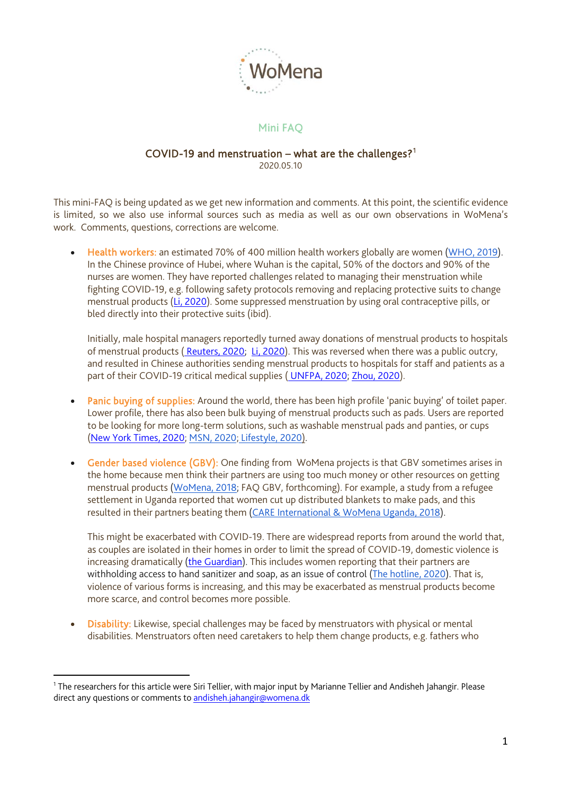

## Mini FAQ

## COVID-[1](#page-0-0)9 and menstruation – what are the challenges?<sup>1</sup> 2020.05.10

This mini-FAQ is being updated as we get new information and comments. At this point, the scientific evidence is limited, so we also use informal sources such as media as well as our own observations in WoMena's work. Comments, questions, corrections are welcome.

• Health workers: an estimated 70% of 400 million health workers globally are women [\(WHO, 2019\)](https://apps.who.int/iris/bitstream/handle/10665/311322/9789241515467-eng.pdf). In the Chinese province of Hubei, where Wuhan is the capital, 50% of the doctors and 90% of the nurses are women. They have reported challenges related to managing their menstruation while fighting COVID-19, e.g. following safety protocols removing and replacing protective suits to change menstrual products [\(Li, 2020\)](https://www.scmp.com/comment/opinion/article/3052524/how-chinas-coronavirus-health-care-workers-exposed-taboo). Some suppressed menstruation by using oral contraceptive pills, or bled directly into their protective suits (ibid).

Initially, male hospital managers reportedly turned away donations of menstrual products to hospitals of menstrual products ( [Reuters, 2020;](https://www.news18.com/news/world/would-delay-periods-than-stain-suit-china-under-fire-as-women-coronavirus-workers-share-struggles-2529489.html) [Li, 2020\)](https://www.scmp.com/comment/opinion/article/3052524/how-chinas-coronavirus-health-care-workers-exposed-taboo). This was reversed when there was a public outcry, and resulted in Chinese authorities sending menstrual products to hospitals for staff and patients as a part of their COVID-19 critical medical supplies ( [UNFPA, 2020;](https://asiapacific.unfpa.org/en/news/unfpa-supports-chinas-response-covid-19) [Zhou, 2020\)](https://www.inkstonenews.com/health/coronavirus-womens-advocates-ship-period-products-center-outbreak/article/3050653).

- Panic buying of supplies: Around the world, there has been high profile 'panic buying' of toilet paper. Lower profile, there has also been bulk buying of menstrual products such as pads. Users are reported to be looking for more long-term solutions, such as washable menstrual pads and panties, or cups [\(New York Times, 2020;](https://www.nytimes.com/2020/04/05/us/02IHW-virus-tampons-pads-periods-product-shortages.html) [MSN, 2020;](https://www.msn.com/en-au/lifestyle/smart-living/i-cant-even-get-a-box-of-tampons-panic-buying-sparks-move-toward-sustainable-period-solutions/ar-BB11F8Q7) [Lifestyle, 2020\).](https://www.lifestyle.com.au/news/aussie-women-struggle-to-find-menstrual-products-in-wake-of-coronavirus-panic-buying.aspx)
- Gender based violence (GBV): One finding from WoMena projects is that GBV sometimes arises in the home because men think their partners are using too much money or other resources on getting menstrual products [\(WoMena, 2018;](http://womena.dk/wp-content/uploads/2018/06/UNFPA-Review-Menstrual-Health-Management-Final-04-June-2018.pdf) FAQ GBV, forthcoming). For example, a study from a refugee settlement in Uganda reported that women cut up distributed blankets to make pads, and this resulted in their partners beating them [\(CARE International & WoMena Uganda,](http://womena.dk/ruby-cups-girls-in-imvepi-refugee-settlement-taking-control/) 2018).

This might be exacerbated with COVID-19. There are widespread reports from around the world that, as couples are isolated in their homes in order to limit the spread of COVID-19, domestic violence is increasing dramatically [\(the Guardian\)](https://www.theguardian.com/society/2020/apr/12/domestic-violence-surges-seven-hundred-per-cent-uk-coronavirus). This includes women reporting that their partners are withholding access to hand sanitizer and soap, as an issue of control [\(The hotline,](https://www.thehotline.org/2020/03/13/staying-safe-during-covid-19/) 2020). That is, violence of various forms is increasing, and this may be exacerbated as menstrual products become more scarce, and control becomes more possible.

• Disability: Likewise, special challenges may be faced by menstruators with physical or mental disabilities. Menstruators often need caretakers to help them change products, e.g. fathers who

1

<span id="page-0-0"></span><sup>&</sup>lt;sup>1</sup> The researchers for this article were Siri Tellier, with major input by Marianne Tellier and Andisheh Jahangir. Please direct any questions or comments to [andisheh.jahangir@womena.dk](mailto:andisheh.jahangir@womena.dk)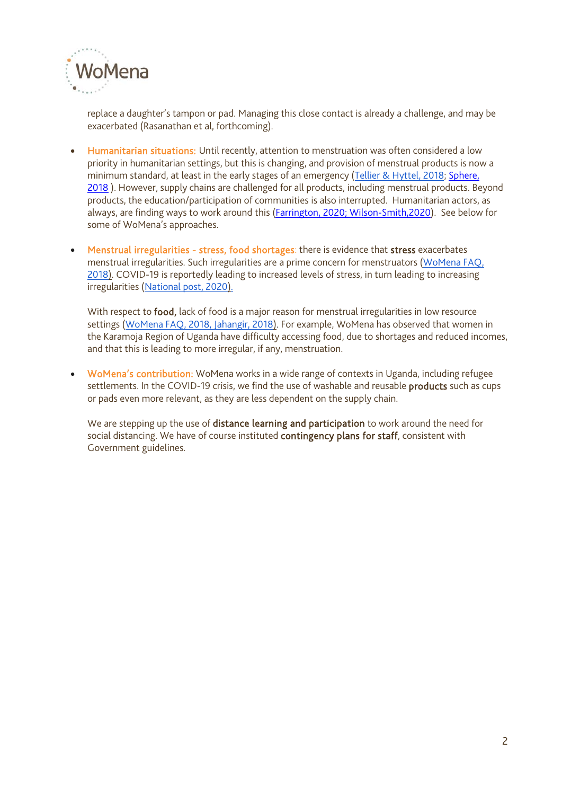

replace a daughter's tampon or pad. Managing this close contact is already a challenge, and may be exacerbated (Rasanathan et al, forthcoming).

- Humanitarian situations: Until recently, attention to menstruation was often considered a low priority in humanitarian settings, but this is changing, and provision of menstrual products is now a minimum standard, at least in the early stages of an emergency [\(Tellier & Hyttel, 2018;](http://womena.dk/wp-content/uploads/2018/06/UNFPA-Review-Menstrual-Health-Management-Final-04-June-2018.pdf) [Sphere,](https://handbook.spherestandards.org/en/sphere/#ch001) [2018](https://handbook.spherestandards.org/en/sphere/#ch001) ). However, supply chains are challenged for all products, including menstrual products. Beyond products, the education/participation of communities is also interrupted. Humanitarian actors, as always, are finding ways to work around this [\(Farrington, 2020; Wilson-Smith,2020\)](https://www.youtube.com/watch?v=nqUIbivcqiY&list=PL1UKNqoJNj9_7aF81ZCL4Ht1zbAcRVMRO&index=2&t=0s). See below for some of WoMena's approaches.
- Menstrual irregularities stress, food shortages: there is evidence that stress exacerbates menstrual irregularities. Such irregularities are a prime concern for menstruators (WoMena FAQ, 2018). COVID-19 is reportedly leading to increased levels of stress, in turn leading to increasing irregularities [\(National post, 2020\).](https://nationalpost.com/diseases-and-conditions/coronavirus/missed-your-period-you-can-probably-blame-covid-19/wcm/fbab7fe8-4ef8-4320-9aba-219869ba3383,%20https:/metro.co.uk/2020/04/18/lockdown-may-affecting-periods-12575133/,%20many%20more)

With respect to food, lack of food is a major reason for menstrual irregularities in low resource settings [\(WoMena FAQ, 2018, Jahangir, 2018\).](http://womena.dk/faqs/) For example, WoMena has observed that women in the Karamoja Region of Uganda have difficulty accessing food, due to shortages and reduced incomes, and that this is leading to more irregular, if any, menstruation.

• WoMena's contribution: WoMena works in a wide range of contexts in Uganda, including refugee settlements. In the COVID-19 crisis, we find the use of washable and reusable **products** such as cups or pads even more relevant, as they are less dependent on the supply chain.

We are stepping up the use of **distance learning and participation** to work around the need for social distancing. We have of course instituted contingency plans for staff, consistent with Government guidelines.